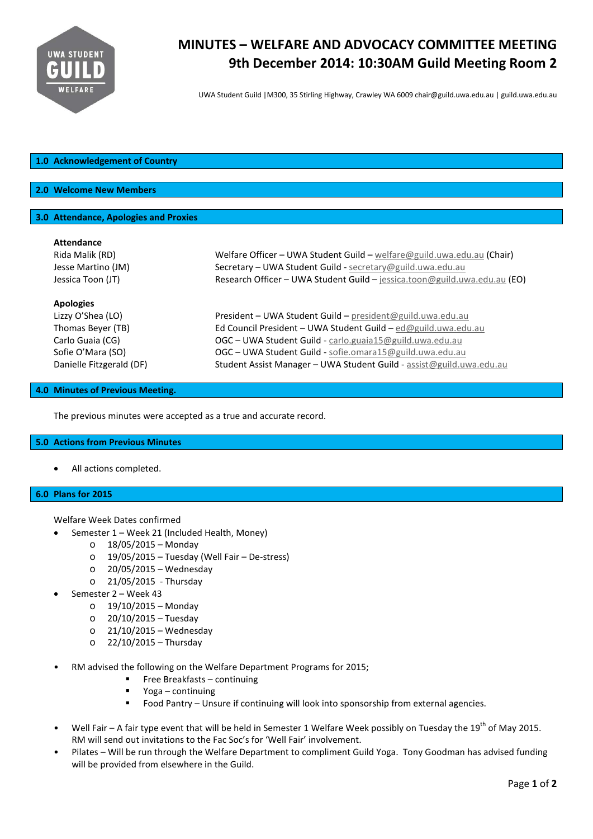

# **MINUTES – WELFARE AND ADVOCACY COMMITTEE MEETING 9th December 2014: 10:30AM Guild Meeting Room 2**

UWA Student Guild |M300, 35 Stirling Highway, Crawley WA 6009 chair@guild.uwa.edu.au | guild.uwa.edu.au

## **1.0 Acknowledgement of Country**

## **2.0 Welcome New Members**

## **3.0 Attendance, Apologies and Proxies**

| <b>Attendance</b>        |                                                                           |
|--------------------------|---------------------------------------------------------------------------|
| Rida Malik (RD)          | Welfare Officer - UWA Student Guild - welfare@guild.uwa.edu.au (Chair)    |
| Jesse Martino (JM)       | Secretary - UWA Student Guild - secretary@guild.uwa.edu.au                |
| Jessica Toon (JT)        | Research Officer - UWA Student Guild - jessica.toon@guild.uwa.edu.au (EO) |
| <b>Apologies</b>         |                                                                           |
| Lizzy O'Shea (LO)        | President - UWA Student Guild - president@guild.uwa.edu.au                |
| Thomas Beyer (TB)        | Ed Council President - UWA Student Guild - ed@guild.uwa.edu.au            |
| Carlo Guaia (CG)         | OGC - UWA Student Guild - carlo.guaia15@guild.uwa.edu.au                  |
| Sofie O'Mara (SO)        | OGC - UWA Student Guild - sofie.omara15@guild.uwa.edu.au                  |
| Danielle Fitzgerald (DF) | Student Assist Manager - UWA Student Guild - assist@guild.uwa.edu.au      |

#### **4.0 Minutes of Previous Meeting.**

The previous minutes were accepted as a true and accurate record.

#### **5.0 Actions from Previous Minutes**

• All actions completed.

## **6.0 Plans for 2015**

Welfare Week Dates confirmed

- Semester 1 Week 21 (Included Health, Money)
	- o 18/05/2015 Monday
	- o 19/05/2015 Tuesday (Well Fair De-stress)
	- o 20/05/2015 Wednesday
	- o 21/05/2015 Thursday
- Semester 2 Week 43
	- o 19/10/2015 Monday
	- o 20/10/2015 Tuesday
	- $O$  21/10/2015 Wednesday
	- o 22/10/2015 Thursday
- RM advised the following on the Welfare Department Programs for 2015;
	- Free Breakfasts continuing
	- **•** Yoga continuing
	- Food Pantry Unsure if continuing will look into sponsorship from external agencies.
- Well Fair A fair type event that will be held in Semester 1 Welfare Week possibly on Tuesday the 19<sup>th</sup> of May 2015. RM will send out invitations to the Fac Soc's for 'Well Fair' involvement.
- Pilates Will be run through the Welfare Department to compliment Guild Yoga. Tony Goodman has advised funding will be provided from elsewhere in the Guild.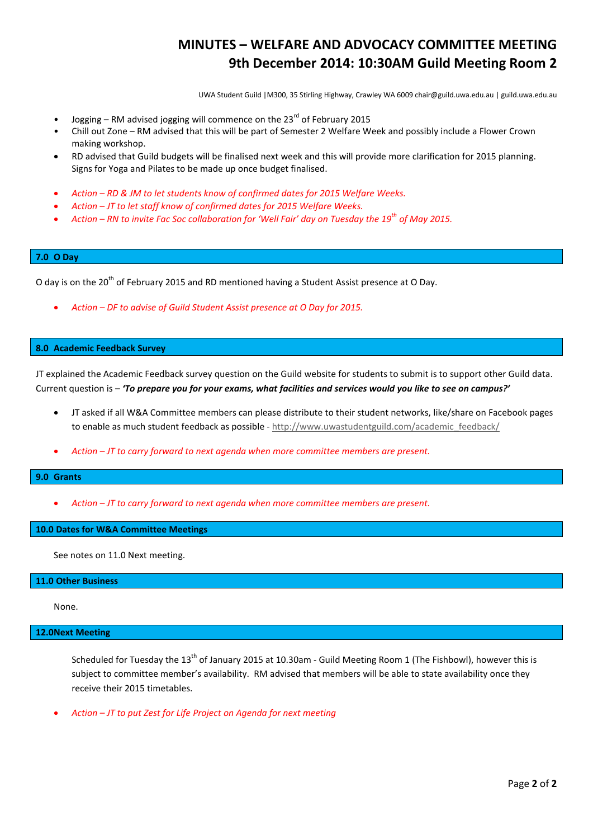## **MINUTES – WELFARE AND ADVOCACY COMMITTEE MEETING 9th December 2014: 10:30AM Guild Meeting Room 2**

UWA Student Guild |M300, 35 Stirling Highway, Crawley WA 6009 chair@guild.uwa.edu.au | guild.uwa.edu.au

- Jogging RM advised jogging will commence on the  $23<sup>rd</sup>$  of February 2015
- Chill out Zone RM advised that this will be part of Semester 2 Welfare Week and possibly include a Flower Crown making workshop.
- RD advised that Guild budgets will be finalised next week and this will provide more clarification for 2015 planning. Signs for Yoga and Pilates to be made up once budget finalised.
- *Action – RD & JM to let students know of confirmed dates for 2015 Welfare Weeks.*
- *Action – JT to let staff know of confirmed dates for 2015 Welfare Weeks.*
- *Action – RN to invite Fac Soc collaboration for 'Well Fair' day on Tuesday the 19th of May 2015.*

### **7.0 O Day**

O day is on the 20<sup>th</sup> of February 2015 and RD mentioned having a Student Assist presence at O Day.

• *Action – DF to advise of Guild Student Assist presence at O Day for 2015.*

#### **8.0 Academic Feedback Survey**

JT explained the Academic Feedback survey question on the Guild website for students to submit is to support other Guild data. Current question is – *'To prepare you for your exams, what facilities and services would you like to see on campus?'*

- JT asked if all W&A Committee members can please distribute to their student networks, like/share on Facebook pages to enable as much student feedback as possible - [http://www.uwastudentguild.com/academic\\_feedback/](http://www.uwastudentguild.com/academic_feedback/)
- *Action – JT to carry forward to next agenda when more committee members are present.*

#### **9.0 Grants**

• *Action – JT to carry forward to next agenda when more committee members are present.*

## **10.0 Dates for W&A Committee Meetings**

See notes on 11.0 Next meeting.

#### **11.0 Other Business**

None.

#### **12.0Next Meeting**

Scheduled for Tuesday the  $13<sup>th</sup>$  of January 2015 at 10.30am - Guild Meeting Room 1 (The Fishbowl), however this is subject to committee member's availability. RM advised that members will be able to state availability once they receive their 2015 timetables.

• *Action – JT to put Zest for Life Project on Agenda for next meeting*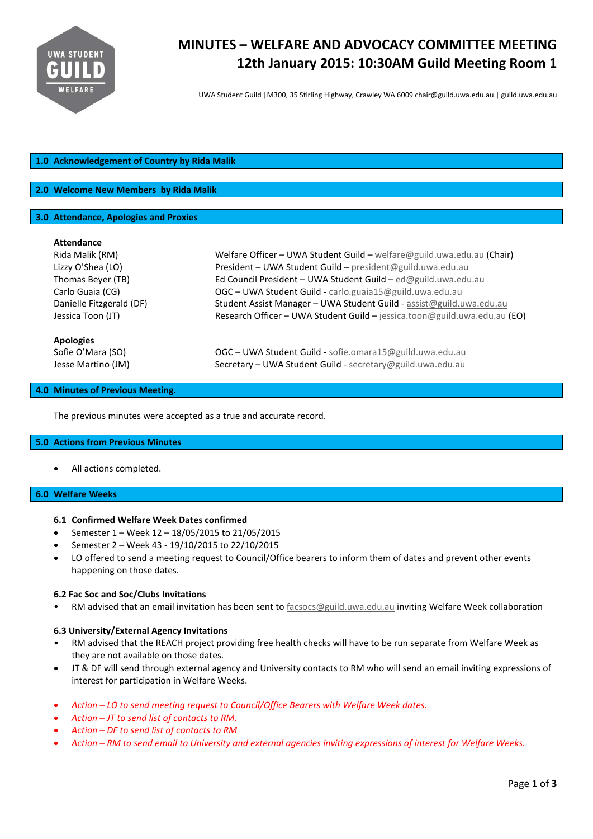

# **MINUTES – WELFARE AND ADVOCACY COMMITTEE MEETING 12th January 2015: 10:30AM Guild Meeting Room 1**

UWA Student Guild |M300, 35 Stirling Highway, Crawley WA 6009 chair@guild.uwa.edu.au | guild.uwa.edu.au

## **1.0 Acknowledgement of Country by Rida Malik**

## **2.0 Welcome New Members by Rida Malik**

### **3.0 Attendance, Apologies and Proxies**

#### **Attendance**

| Rida Malik (RM)                                             | Welfare Officer – UWA Student Guild – welfare @guild.uwa.edu.au (Chair)                                                  |
|-------------------------------------------------------------|--------------------------------------------------------------------------------------------------------------------------|
| Lizzy O'Shea (LO)                                           | President - UWA Student Guild - president@guild.uwa.edu.au                                                               |
| Thomas Beyer (TB)                                           | Ed Council President - UWA Student Guild - ed@guild.uwa.edu.au                                                           |
| Carlo Guaia (CG)                                            | OGC - UWA Student Guild - carlo.guaia15@guild.uwa.edu.au                                                                 |
| Danielle Fitzgerald (DF)                                    | Student Assist Manager - UWA Student Guild - assist@guild.uwa.edu.au                                                     |
| Jessica Toon (JT)                                           | Research Officer - UWA Student Guild - jessica.toon@guild.uwa.edu.au (EO)                                                |
| <b>Apologies</b><br>Sofie O'Mara (SO)<br>Jesse Martino (JM) | $OGC$ – UWA Student Guild - sofie.omara15@guild.uwa.edu.au<br>Secretary - UWA Student Guild - secretary@guild.uwa.edu.au |

#### **4.0 Minutes of Previous Meeting.**

The previous minutes were accepted as a true and accurate record.

#### **5.0 Actions from Previous Minutes**

All actions completed.

## **6.0 Welfare Weeks**

## **6.1 Confirmed Welfare Week Dates confirmed**

- Semester 1 Week 12 18/05/2015 to 21/05/2015
- Semester 2 Week 43 19/10/2015 to 22/10/2015
- LO offered to send a meeting request to Council/Office bearers to inform them of dates and prevent other events happening on those dates.

#### **6.2 Fac Soc and Soc/Clubs Invitations**

• RM advised that an email invitation has been sent to [facsocs@guild.uwa.edu.au](mailto:facsocs@guild.uwa.edu.au) inviting Welfare Week collaboration

## **6.3 University/External Agency Invitations**

- RM advised that the REACH project providing free health checks will have to be run separate from Welfare Week as they are not available on those dates.
- JT & DF will send through external agency and University contacts to RM who will send an email inviting expressions of interest for participation in Welfare Weeks.
- *Action – LO to send meeting request to Council/Office Bearers with Welfare Week dates.*
- *Action – JT to send list of contacts to RM.*
- *Action – DF to send list of contacts to RM*
- *Action – RM to send email to University and external agencies inviting expressions of interest for Welfare Weeks.*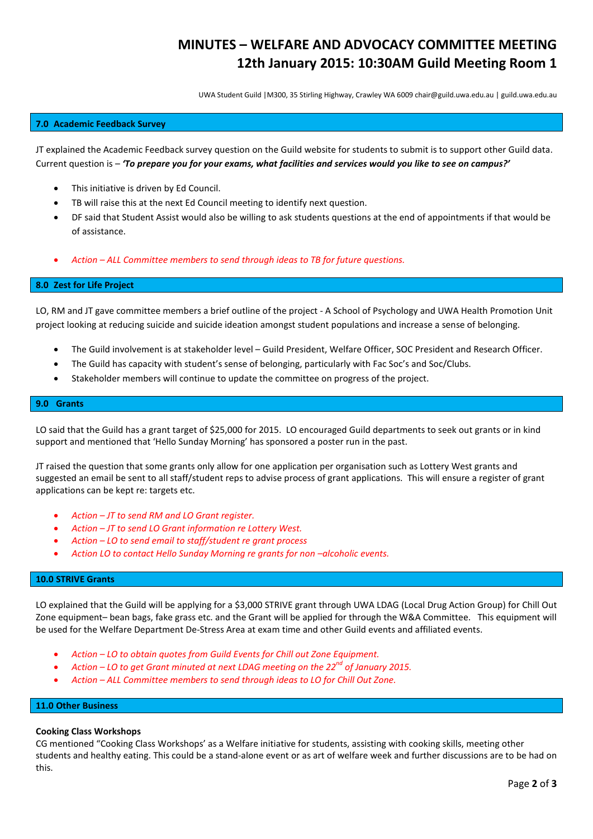## **MINUTES – WELFARE AND ADVOCACY COMMITTEE MEETING 12th January 2015: 10:30AM Guild Meeting Room 1**

UWA Student Guild |M300, 35 Stirling Highway, Crawley WA 6009 chair@guild.uwa.edu.au | guild.uwa.edu.au

### **7.0 Academic Feedback Survey**

JT explained the Academic Feedback survey question on the Guild website for students to submit is to support other Guild data. Current question is – *'To prepare you for your exams, what facilities and services would you like to see on campus?'*

- This initiative is driven by Ed Council.
- TB will raise this at the next Ed Council meeting to identify next question.
- DF said that Student Assist would also be willing to ask students questions at the end of appointments if that would be of assistance.
- *Action – ALL Committee members to send through ideas to TB for future questions.*

#### **8.0 Zest for Life Project**

LO, RM and JT gave committee members a brief outline of the project - A School of Psychology and UWA Health Promotion Unit project looking at reducing suicide and suicide ideation amongst student populations and increase a sense of belonging.

- The Guild involvement is at stakeholder level Guild President, Welfare Officer, SOC President and Research Officer.
- The Guild has capacity with student's sense of belonging, particularly with Fac Soc's and Soc/Clubs.
- Stakeholder members will continue to update the committee on progress of the project.

#### **9.0 Grants**

LO said that the Guild has a grant target of \$25,000 for 2015. LO encouraged Guild departments to seek out grants or in kind support and mentioned that 'Hello Sunday Morning' has sponsored a poster run in the past.

JT raised the question that some grants only allow for one application per organisation such as Lottery West grants and suggested an email be sent to all staff/student reps to advise process of grant applications. This will ensure a register of grant applications can be kept re: targets etc.

- *Action – JT to send RM and LO Grant register.*
- *Action – JT to send LO Grant information re Lottery West.*
- *Action – LO to send email to staff/student re grant process*
- *Action LO to contact Hello Sunday Morning re grants for non –alcoholic events.*

#### **10.0 STRIVE Grants**

LO explained that the Guild will be applying for a \$3,000 STRIVE grant through UWA LDAG (Local Drug Action Group) for Chill Out Zone equipment– bean bags, fake grass etc. and the Grant will be applied for through the W&A Committee. This equipment will be used for the Welfare Department De-Stress Area at exam time and other Guild events and affiliated events.

- *Action – LO to obtain quotes from Guild Events for Chill out Zone Equipment.*
- *Action – LO to get Grant minuted at next LDAG meeting on the 22nd of January 2015.*
- *Action – ALL Committee members to send through ideas to LO for Chill Out Zone.*

## **11.0 Other Business**

#### **Cooking Class Workshops**

CG mentioned "Cooking Class Workshops' as a Welfare initiative for students, assisting with cooking skills, meeting other students and healthy eating. This could be a stand-alone event or as art of welfare week and further discussions are to be had on this.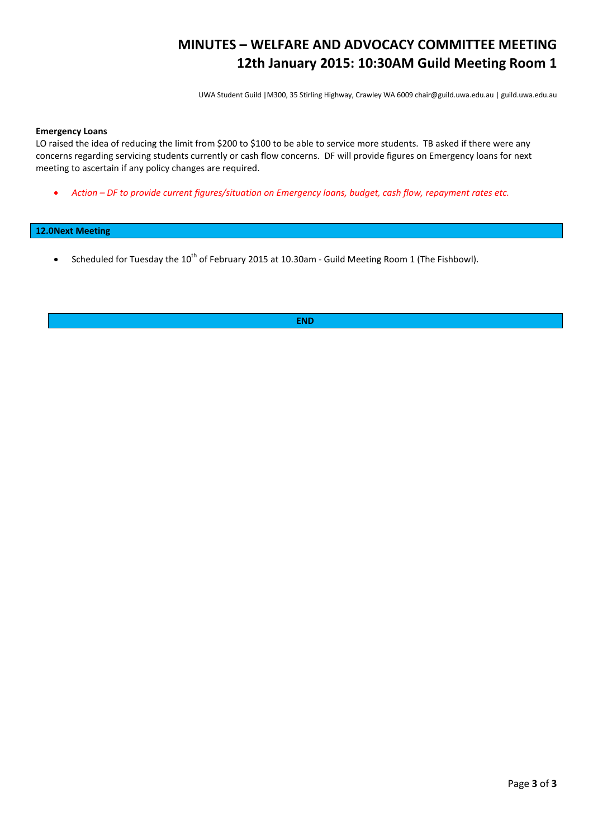## **MINUTES – WELFARE AND ADVOCACY COMMITTEE MEETING 12th January 2015: 10:30AM Guild Meeting Room 1**

UWA Student Guild |M300, 35 Stirling Highway, Crawley WA 6009 chair@guild.uwa.edu.au | guild.uwa.edu.au

#### **Emergency Loans**

LO raised the idea of reducing the limit from \$200 to \$100 to be able to service more students. TB asked if there were any concerns regarding servicing students currently or cash flow concerns. DF will provide figures on Emergency loans for next meeting to ascertain if any policy changes are required.

• *Action – DF to provide current figures/situation on Emergency loans, budget, cash flow, repayment rates etc.*

### **12.0Next Meeting**

• Scheduled for Tuesday the 10<sup>th</sup> of February 2015 at 10.30am - Guild Meeting Room 1 (The Fishbowl).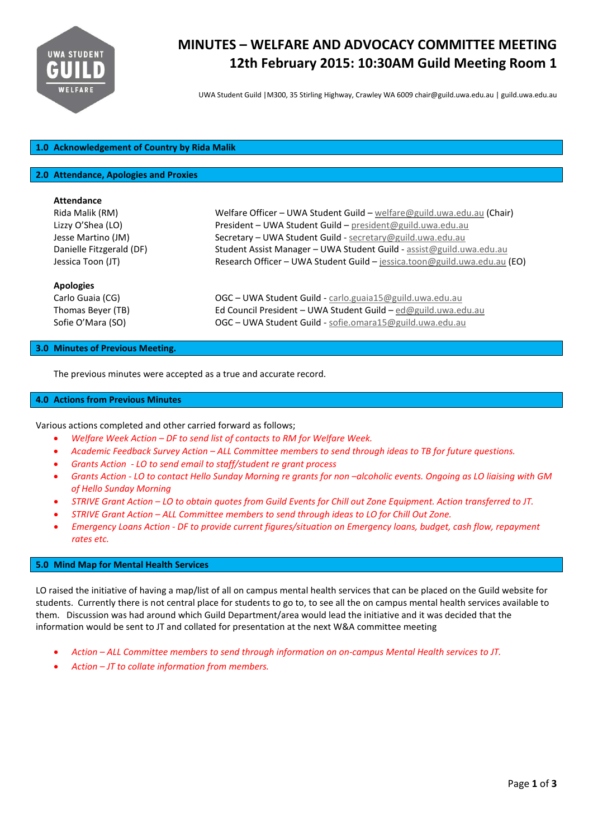

# **MINUTES – WELFARE AND ADVOCACY COMMITTEE MEETING 12th February 2015: 10:30AM Guild Meeting Room 1**

UWA Student Guild |M300, 35 Stirling Highway, Crawley WA 6009 chair@guild.uwa.edu.au | guild.uwa.edu.au

## **1.0 Acknowledgement of Country by Rida Malik**

#### **2.0 Attendance, Apologies and Proxies**

| <b>Attendance</b>        |                                                                           |
|--------------------------|---------------------------------------------------------------------------|
| Rida Malik (RM)          | Welfare Officer - UWA Student Guild - welfare@guild.uwa.edu.au (Chair)    |
| Lizzy O'Shea (LO)        | President - UWA Student Guild - president@guild.uwa.edu.au                |
| Jesse Martino (JM)       | Secretary - UWA Student Guild - secretary@guild.uwa.edu.au                |
| Danielle Fitzgerald (DF) | Student Assist Manager - UWA Student Guild - assist@guild.uwa.edu.au      |
| Jessica Toon (JT)        | Research Officer - UWA Student Guild - jessica.toon@guild.uwa.edu.au (EO) |
| <b>Apologies</b>         |                                                                           |
| Carlo Guaia (CG)         | $OGC - UWA Student$ Guild - carlo.guaia15@guild.uwa.edu.au                |
| Thomas Beyer (TB)        | Ed Council President - UWA Student Guild - ed@guild.uwa.edu.au            |
| Sofie O'Mara (SO)        | $OGC$ – UWA Student Guild - sofie.omara15@guild.uwa.edu.au                |
|                          |                                                                           |

#### **3.0 Minutes of Previous Meeting.**

The previous minutes were accepted as a true and accurate record.

#### **4.0 Actions from Previous Minutes**

Various actions completed and other carried forward as follows;

- *Welfare Week Action – DF to send list of contacts to RM for Welfare Week.*
- *Academic Feedback Survey Action – ALL Committee members to send through ideas to TB for future questions.*
- *Grants Action - LO to send email to staff/student re grant process*
- *Grants Action - LO to contact Hello Sunday Morning re grants for non –alcoholic events. Ongoing as LO liaising with GM of Hello Sunday Morning*
- *STRIVE Grant Action – LO to obtain quotes from Guild Events for Chill out Zone Equipment. Action transferred to JT.*
- *STRIVE Grant Action – ALL Committee members to send through ideas to LO for Chill Out Zone.*
- *Emergency Loans Action - DF to provide current figures/situation on Emergency loans, budget, cash flow, repayment rates etc.*

#### **5.0 Mind Map for Mental Health Services**

LO raised the initiative of having a map/list of all on campus mental health services that can be placed on the Guild website for students. Currently there is not central place for students to go to, to see all the on campus mental health services available to them. Discussion was had around which Guild Department/area would lead the initiative and it was decided that the information would be sent to JT and collated for presentation at the next W&A committee meeting

- *Action – ALL Committee members to send through information on on-campus Mental Health services to JT.*
- *Action – JT to collate information from members.*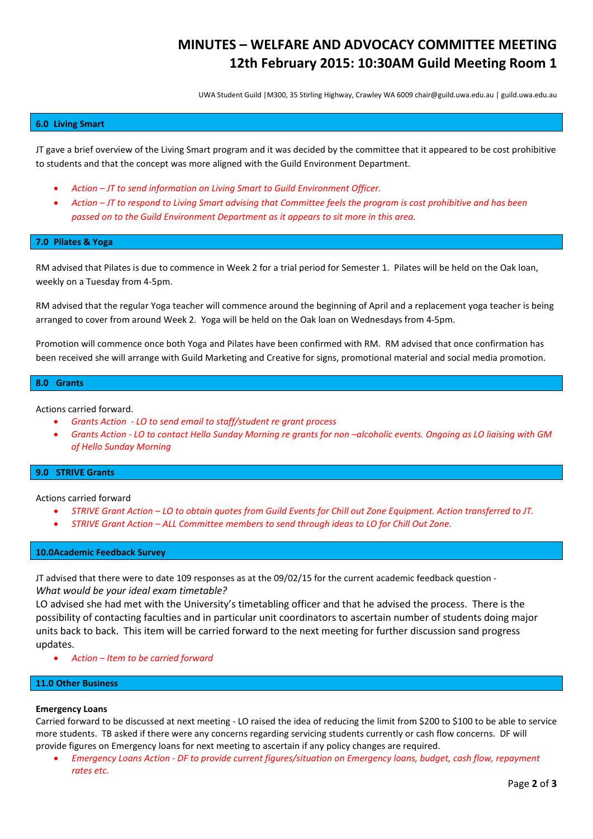## **MINUTES – WELFARE AND ADVOCACY COMMITTEE MEETING 12th February 2015: 10:30AM Guild Meeting Room 1**

UWA Student Guild |M300, 35 Stirling Highway, Crawley WA 6009 chair@guild.uwa.edu.au | guild.uwa.edu.au

#### **6.0 Living Smart**

JT gave a brief overview of the Living Smart program and it was decided by the committee that it appeared to be cost prohibitive to students and that the concept was more aligned with the Guild Environment Department.

- *Action – JT to send information on Living Smart to Guild Environment Officer.*
- *Action – JT to respond to Living Smart advising that Committee feels the program is cost prohibitive and has been passed on to the Guild Environment Department as it appears to sit more in this area.*

#### **7.0 Pilates & Yoga**

RM advised that Pilates is due to commence in Week 2 for a trial period for Semester 1. Pilates will be held on the Oak loan, weekly on a Tuesday from 4-5pm.

RM advised that the regular Yoga teacher will commence around the beginning of April and a replacement yoga teacher is being arranged to cover from around Week 2. Yoga will be held on the Oak loan on Wednesdays from 4-5pm.

Promotion will commence once both Yoga and Pilates have been confirmed with RM. RM advised that once confirmation has been received she will arrange with Guild Marketing and Creative for signs, promotional material and social media promotion.

#### **8.0 Grants**

Actions carried forward.

- *Grants Action - LO to send email to staff/student re grant process*
- *Grants Action - LO to contact Hello Sunday Morning re grants for non –alcoholic events. Ongoing as LO liaising with GM of Hello Sunday Morning*

#### **9.0 STRIVE Grants**

Actions carried forward

- *STRIVE Grant Action – LO to obtain quotes from Guild Events for Chill out Zone Equipment. Action transferred to JT.*
- *STRIVE Grant Action – ALL Committee members to send through ideas to LO for Chill Out Zone.*

### **10.0Academic Feedback Survey**

JT advised that there were to date 109 responses as at the 09/02/15 for the current academic feedback question - *What would be your ideal exam timetable?*

LO advised she had met with the University's timetabling officer and that he advised the process. There is the possibility of contacting faculties and in particular unit coordinators to ascertain number of students doing major units back to back. This item will be carried forward to the next meeting for further discussion sand progress updates.

• *Action – Item to be carried forward*

## **11.0 Other Business**

#### **Emergency Loans**

Carried forward to be discussed at next meeting - LO raised the idea of reducing the limit from \$200 to \$100 to be able to service more students. TB asked if there were any concerns regarding servicing students currently or cash flow concerns. DF will provide figures on Emergency loans for next meeting to ascertain if any policy changes are required.

• *Emergency Loans Action - DF to provide current figures/situation on Emergency loans, budget, cash flow, repayment rates etc.*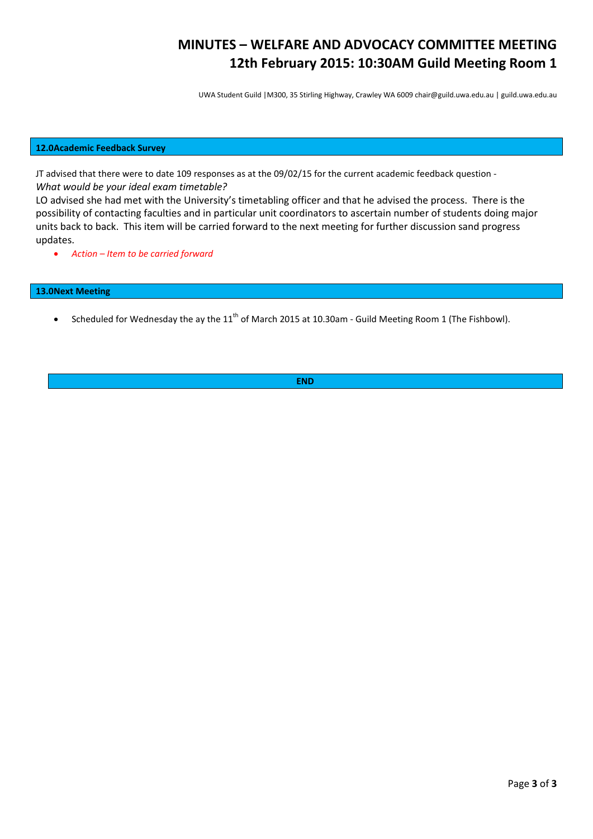## **MINUTES – WELFARE AND ADVOCACY COMMITTEE MEETING 12th February 2015: 10:30AM Guild Meeting Room 1**

UWA Student Guild |M300, 35 Stirling Highway, Crawley WA 6009 chair@guild.uwa.edu.au | guild.uwa.edu.au

## **12.0Academic Feedback Survey**

JT advised that there were to date 109 responses as at the 09/02/15 for the current academic feedback question - *What would be your ideal exam timetable?*

LO advised she had met with the University's timetabling officer and that he advised the process. There is the possibility of contacting faculties and in particular unit coordinators to ascertain number of students doing major units back to back. This item will be carried forward to the next meeting for further discussion sand progress updates.

• *Action – Item to be carried forward*

## **13.0Next Meeting**

• Scheduled for Wednesday the ay the  $11<sup>th</sup>$  of March 2015 at 10.30am - Guild Meeting Room 1 (The Fishbowl).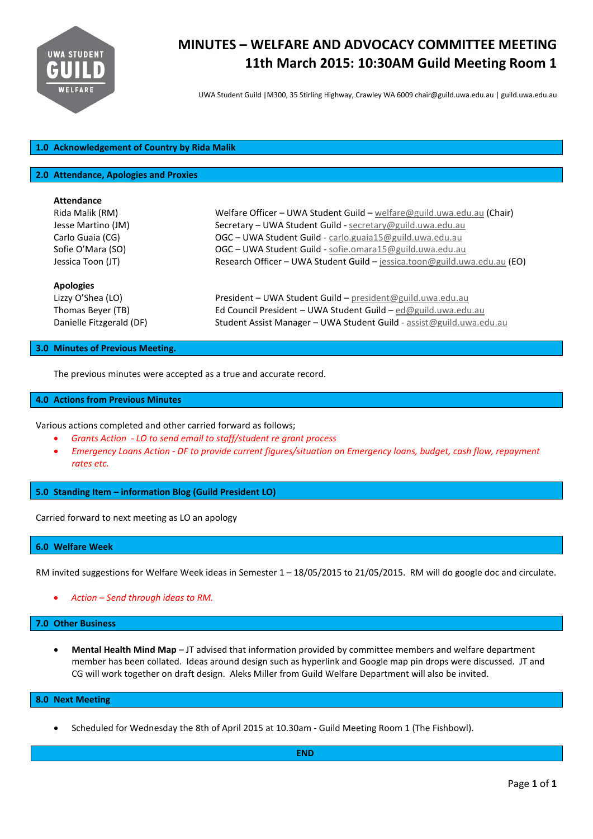

# **MINUTES – WELFARE AND ADVOCACY COMMITTEE MEETING 11th March 2015: 10:30AM Guild Meeting Room 1**

UWA Student Guild |M300, 35 Stirling Highway, Crawley WA 6009 chair@guild.uwa.edu.au | guild.uwa.edu.au

## **1.0 Acknowledgement of Country by Rida Malik**

#### **2.0 Attendance, Apologies and Proxies**

| <b>Attendance</b>        |                                                                           |
|--------------------------|---------------------------------------------------------------------------|
| Rida Malik (RM)          | Welfare Officer - UWA Student Guild - welfare@guild.uwa.edu.au (Chair)    |
| Jesse Martino (JM)       | Secretary - UWA Student Guild - secretary@guild.uwa.edu.au                |
| Carlo Guaia (CG)         | OGC - UWA Student Guild - carlo.guaia15@guild.uwa.edu.au                  |
| Sofie O'Mara (SO)        | $OGC - UWA Student$ Guild - sofie.omara15@guild.uwa.edu.au                |
| Jessica Toon (JT)        | Research Officer - UWA Student Guild - jessica.toon@guild.uwa.edu.au (EO) |
| <b>Apologies</b>         |                                                                           |
| Lizzy O'Shea (LO)        | President - UWA Student Guild - president@guild.uwa.edu.au                |
| Thomas Beyer (TB)        | Ed Council President - UWA Student Guild - ed@guild.uwa.edu.au            |
| Danielle Fitzgerald (DF) | Student Assist Manager – UWA Student Guild - assist@guild.uwa.edu.au      |

#### **3.0 Minutes of Previous Meeting.**

The previous minutes were accepted as a true and accurate record.

#### **4.0 Actions from Previous Minutes**

Various actions completed and other carried forward as follows;

- *Grants Action - LO to send email to staff/student re grant process*
- *Emergency Loans Action - DF to provide current figures/situation on Emergency loans, budget, cash flow, repayment rates etc.*

**5.0 Standing Item – information Blog (Guild President LO)**

Carried forward to next meeting as LO an apology

#### **6.0 Welfare Week**

RM invited suggestions for Welfare Week ideas in Semester 1 – 18/05/2015 to 21/05/2015. RM will do google doc and circulate.

• *Action – Send through ideas to RM.*

#### **7.0 Other Business**

• **Mental Health Mind Map** – JT advised that information provided by committee members and welfare department member has been collated. Ideas around design such as hyperlink and Google map pin drops were discussed. JT and CG will work together on draft design. Aleks Miller from Guild Welfare Department will also be invited.

### **8.0 Next Meeting**

• Scheduled for Wednesday the 8th of April 2015 at 10.30am - Guild Meeting Room 1 (The Fishbowl).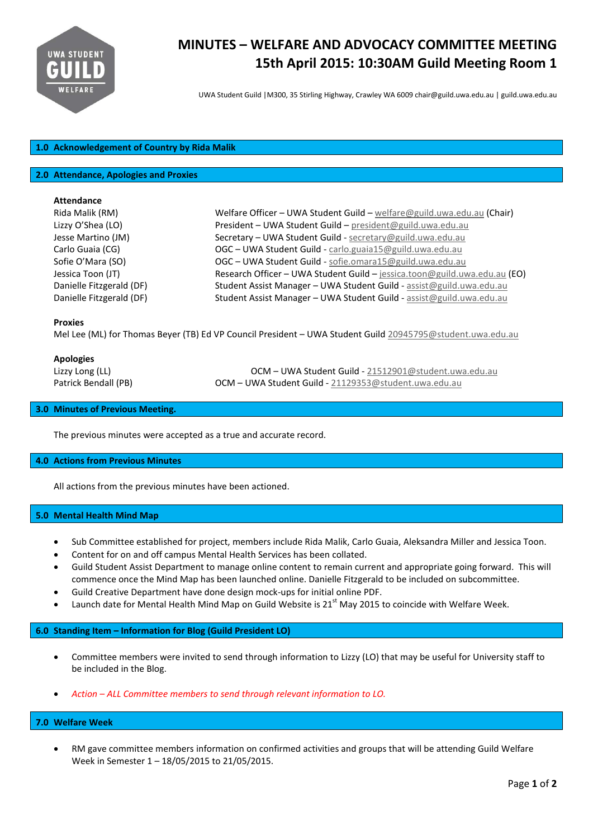

# **MINUTES – WELFARE AND ADVOCACY COMMITTEE MEETING 15th April 2015: 10:30AM Guild Meeting Room 1**

UWA Student Guild |M300, 35 Stirling Highway, Crawley WA 6009 chair@guild.uwa.edu.au | guild.uwa.edu.au

## **1.0 Acknowledgement of Country by Rida Malik**

#### **2.0 Attendance, Apologies and Proxies**

#### **Attendance**

| Rida Malik (RM)          |
|--------------------------|
| Lizzy O'Shea (LO)        |
| Jesse Martino (JM)       |
| Carlo Guaia (CG)         |
| Sofie O'Mara (SO)        |
| Jessica Toon (JT)        |
| Danielle Fitzgerald (DF) |
| Danielle Fitzgerald (DF) |

Welfare Officer – UWA Student Guild – [welfare@guild.uwa.edu.au](mailto:welfare@guild.uwa.edu.au) (Chair) President – UWA Student Guild – [president@guild.uwa.edu.au](mailto:president@guild.uwa.edu.au) Secretary – UWA Student Guild - [secretary@guild.uwa.edu.au](mailto:secretary@guild.uwa.edu.au) OGC - UWA Student Guild - [carlo.guaia15@guild.uwa.edu.au](mailto:carlo.guaia15@guild.uwa.edu.au) OGC - UWA Student Guild - [sofie.omara15@guild.uwa.edu.au](mailto:sofie.omara15@guild.uwa.edu.au) Research Officer – UWA Student Guild – [jessica.toon@guild.uwa.edu.au](mailto:jessica.toon@guild.uwa.edu.au) (EO) Student Assist Manager – UWA Student Guild - [assist@guild.uwa.edu.au](mailto:assist@guild.uwa.edu.au) Student Assist Manager – UWA Student Guild - [assist@guild.uwa.edu.au](mailto:assist@guild.uwa.edu.au)

#### **Proxies**

Mel Lee (ML) for Thomas Beyer (TB) Ed VP Council President – UWA Student Guild [20945795@student.uwa.edu.au](mailto:20945795@student.uwa.edu.au)

#### **Apologies**

Lizzy Long (LL) OCM – UWA Student Guild - [21512901@student.uwa.edu.au](mailto:21512901@student.uwa.edu.au) Patrick Bendall (PB) **OCM – UWA Student Guild -** [21129353@student.uwa.edu.au](mailto:21129353@student.uwa.edu.au)

## **3.0 Minutes of Previous Meeting.**

The previous minutes were accepted as a true and accurate record.

#### **4.0 Actions from Previous Minutes**

All actions from the previous minutes have been actioned.

#### **5.0 Mental Health Mind Map**

- Sub Committee established for project, members include Rida Malik, Carlo Guaia, Aleksandra Miller and Jessica Toon.
- Content for on and off campus Mental Health Services has been collated.
- Guild Student Assist Department to manage online content to remain current and appropriate going forward. This will commence once the Mind Map has been launched online. Danielle Fitzgerald to be included on subcommittee.
- Guild Creative Department have done design mock-ups for initial online PDF.
- Launch date for Mental Health Mind Map on Guild Website is  $21<sup>st</sup>$  May 2015 to coincide with Welfare Week.

#### **6.0 Standing Item – Information for Blog (Guild President LO)**

- Committee members were invited to send through information to Lizzy (LO) that may be useful for University staff to be included in the Blog.
- *Action – ALL Committee members to send through relevant information to LO.*

#### **7.0 Welfare Week**

• RM gave committee members information on confirmed activities and groups that will be attending Guild Welfare Week in Semester 1 – 18/05/2015 to 21/05/2015.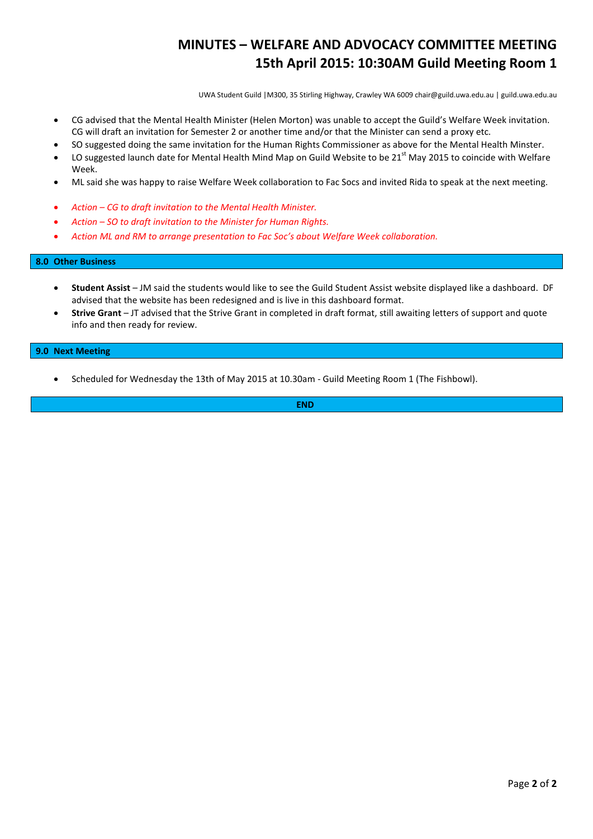## **MINUTES – WELFARE AND ADVOCACY COMMITTEE MEETING 15th April 2015: 10:30AM Guild Meeting Room 1**

UWA Student Guild |M300, 35 Stirling Highway, Crawley WA 6009 chair@guild.uwa.edu.au | guild.uwa.edu.au

- CG advised that the Mental Health Minister (Helen Morton) was unable to accept the Guild's Welfare Week invitation. CG will draft an invitation for Semester 2 or another time and/or that the Minister can send a proxy etc.
- SO suggested doing the same invitation for the Human Rights Commissioner as above for the Mental Health Minster.
- LO suggested launch date for Mental Health Mind Map on Guild Website to be  $21<sup>st</sup>$  May 2015 to coincide with Welfare Week.
- ML said she was happy to raise Welfare Week collaboration to Fac Socs and invited Rida to speak at the next meeting.
- *Action – CG to draft invitation to the Mental Health Minister.*
- *Action – SO to draft invitation to the Minister for Human Rights.*
- *Action ML and RM to arrange presentation to Fac Soc's about Welfare Week collaboration.*

#### **8.0 Other Business**

- **Student Assist** JM said the students would like to see the Guild Student Assist website displayed like a dashboard. DF advised that the website has been redesigned and is live in this dashboard format.
- **Strive Grant**  JT advised that the Strive Grant in completed in draft format, still awaiting letters of support and quote info and then ready for review.

#### **9.0 Next Meeting**

• Scheduled for Wednesday the 13th of May 2015 at 10.30am - Guild Meeting Room 1 (The Fishbowl).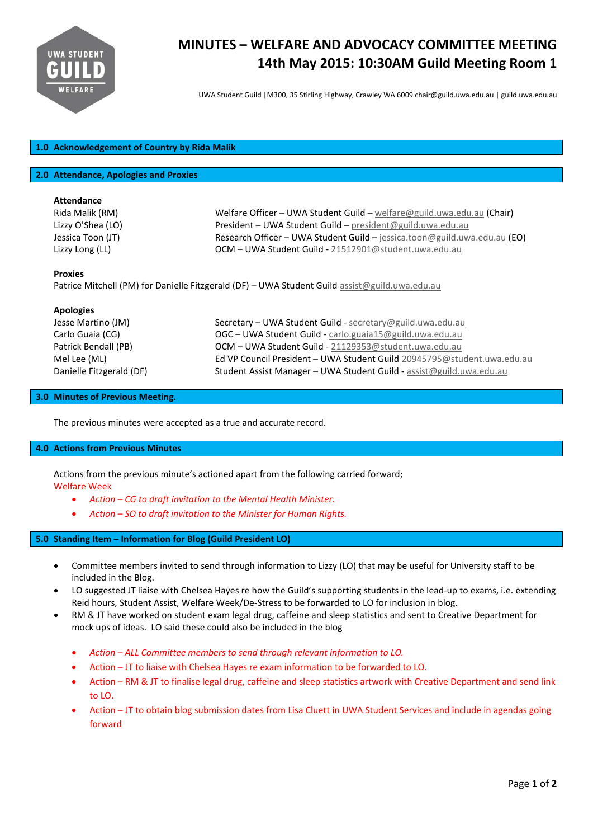

# **MINUTES – WELFARE AND ADVOCACY COMMITTEE MEETING 14th May 2015: 10:30AM Guild Meeting Room 1**

UWA Student Guild |M300, 35 Stirling Highway, Crawley WA 6009 chair@guild.uwa.edu.au | guild.uwa.edu.au

## **1.0 Acknowledgement of Country by Rida Malik**

#### **2.0 Attendance, Apologies and Proxies**

#### **Attendance**

| Rida Malik (RM)     | Welfare Officer - UWA Student Guild - welfare@guild.uwa.edu.au (Chair)    |
|---------------------|---------------------------------------------------------------------------|
| Lizzy O'Shea (LO)   | President - UWA Student Guild - president@guild.uwa.edu.au                |
| Jessica Toon (JT) - | Research Officer - UWA Student Guild - jessica.toon@guild.uwa.edu.au (EO) |
| Lizzy Long (LL)     | OCM - UWA Student Guild - 21512901@student.uwa.edu.au                     |

#### **Proxies**

Patrice Mitchell (PM) for Danielle Fitzgerald (DF) – UWA Student Guild [assist@guild.uwa.edu.au](mailto:assist@guild.uwa.edu.au)

## **Apologies** Jesse Martino (JM) Secretary – UWA Student Guild - [secretary@guild.uwa.edu.au](mailto:secretary@guild.uwa.edu.au) Carlo Guaia (CG) **Carlo Guaia (CG)** OGC – UWA Student Guild - [carlo.guaia15@guild.uwa.edu.au](mailto:carlo.guaia15@guild.uwa.edu.au) Patrick Bendall (PB) **OCM – UWA Student Guild - [21129353@student.uwa.edu.au](mailto:21129353@student.uwa.edu.au)** Mel Lee (ML) Ed VP Council President – UWA Student Guild [20945795@student.uwa.edu.au](mailto:20945795@student.uwa.edu.au) Danielle Fitzgerald (DF) Student Assist Manager – UWA Student Guild - [assist@guild.uwa.edu.au](mailto:assist@guild.uwa.edu.au)

## **3.0 Minutes of Previous Meeting.**

The previous minutes were accepted as a true and accurate record.

## **4.0 Actions from Previous Minutes**

Actions from the previous minute's actioned apart from the following carried forward; Welfare Week

- *Action – CG to draft invitation to the Mental Health Minister.*
- *Action – SO to draft invitation to the Minister for Human Rights.*

## **5.0 Standing Item – Information for Blog (Guild President LO)**

- Committee members invited to send through information to Lizzy (LO) that may be useful for University staff to be included in the Blog.
- LO suggested JT liaise with Chelsea Hayes re how the Guild's supporting students in the lead-up to exams, i.e. extending Reid hours, Student Assist, Welfare Week/De-Stress to be forwarded to LO for inclusion in blog.
- RM & JT have worked on student exam legal drug, caffeine and sleep statistics and sent to Creative Department for mock ups of ideas. LO said these could also be included in the blog
	- *Action – ALL Committee members to send through relevant information to LO.*
	- Action JT to liaise with Chelsea Hayes re exam information to be forwarded to LO.
	- Action RM & JT to finalise legal drug, caffeine and sleep statistics artwork with Creative Department and send link to LO.
	- Action JT to obtain blog submission dates from Lisa Cluett in UWA Student Services and include in agendas going forward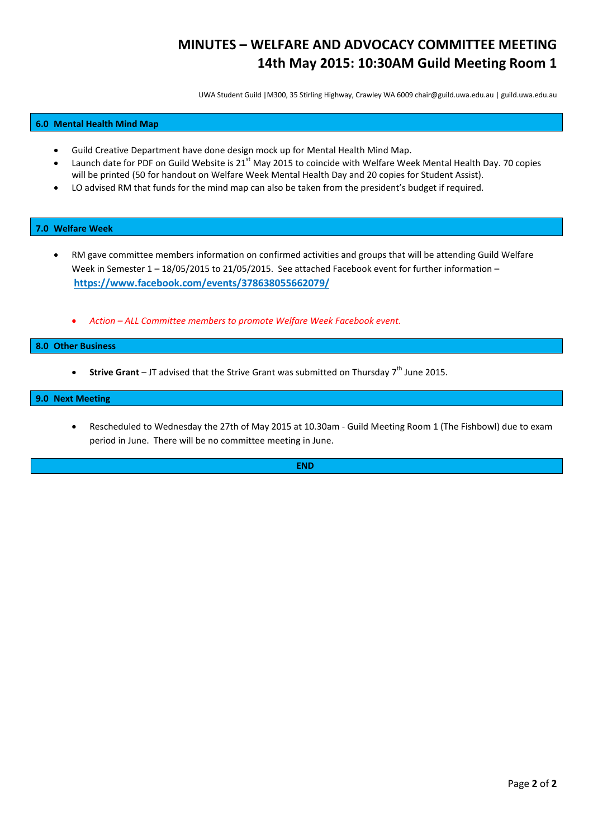## **MINUTES – WELFARE AND ADVOCACY COMMITTEE MEETING 14th May 2015: 10:30AM Guild Meeting Room 1**

UWA Student Guild |M300, 35 Stirling Highway, Crawley WA 6009 chair@guild.uwa.edu.au | guild.uwa.edu.au

## **6.0 Mental Health Mind Map**

- Guild Creative Department have done design mock up for Mental Health Mind Map.
- Launch date for PDF on Guild Website is  $21^{st}$  May 2015 to coincide with Welfare Week Mental Health Day. 70 copies will be printed (50 for handout on Welfare Week Mental Health Day and 20 copies for Student Assist).
- LO advised RM that funds for the mind map can also be taken from the president's budget if required.

#### **7.0 Welfare Week**

- RM gave committee members information on confirmed activities and groups that will be attending Guild Welfare Week in Semester 1 – 18/05/2015 to 21/05/2015. See attached Facebook event for further information – **<https://www.facebook.com/events/378638055662079/>**
	- *Action – ALL Committee members to promote Welfare Week Facebook event.*

#### **8.0 Other Business**

**Strive Grant** – JT advised that the Strive Grant was submitted on Thursday 7<sup>th</sup> June 2015.

#### **9.0 Next Meeting**

• Rescheduled to Wednesday the 27th of May 2015 at 10.30am - Guild Meeting Room 1 (The Fishbowl) due to exam period in June. There will be no committee meeting in June.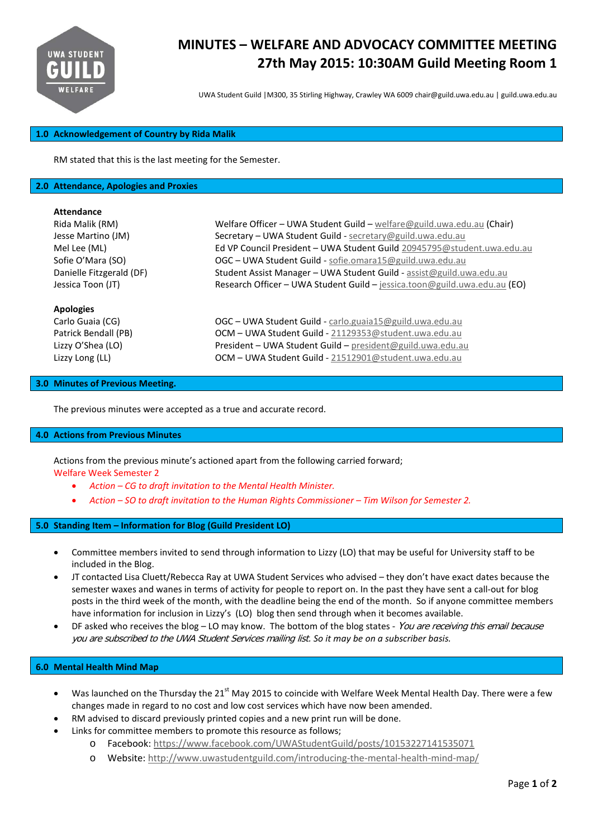

# **MINUTES – WELFARE AND ADVOCACY COMMITTEE MEETING 27th May 2015: 10:30AM Guild Meeting Room 1**

UWA Student Guild |M300, 35 Stirling Highway, Crawley WA 6009 chair@guild.uwa.edu.au | guild.uwa.edu.au

### **1.0 Acknowledgement of Country by Rida Malik**

RM stated that this is the last meeting for the Semester.

#### **2.0 Attendance, Apologies and Proxies**

#### **Attendance**

| Rida Malik (RM)          | Welfare Officer - UWA Student Guild - welfare@guild.uwa.edu.au (Chair)    |
|--------------------------|---------------------------------------------------------------------------|
| Jesse Martino (JM)       | Secretary - UWA Student Guild - secretary@guild.uwa.edu.au                |
| Mel Lee (ML)             | Ed VP Council President - UWA Student Guild 20945795@student.uwa.edu.au   |
| Sofie O'Mara (SO)        | OGC - UWA Student Guild - sofie.omara15@guild.uwa.edu.au                  |
| Danielle Fitzgerald (DF) | Student Assist Manager - UWA Student Guild - assist@guild.uwa.edu.au      |
| Jessica Toon (JT)        | Research Officer - UWA Student Guild - jessica.toon@guild.uwa.edu.au (EO) |
| <b>Apologies</b>         |                                                                           |
| Carlo Guaia (CG)         | OGC - UWA Student Guild - carlo.guaia15@guild.uwa.edu.au                  |
| Patrick Bendall (PB)     | OCM - UWA Student Guild - 21129353@student.uwa.edu.au                     |
| Lizzy O'Shea (LO)        | President - UWA Student Guild - president@guild.uwa.edu.au                |
| Lizzy Long (LL)          | OCM - UWA Student Guild - 21512901@student.uwa.edu.au                     |

#### **3.0 Minutes of Previous Meeting.**

The previous minutes were accepted as a true and accurate record.

#### **4.0 Actions from Previous Minutes**

Actions from the previous minute's actioned apart from the following carried forward; Welfare Week Semester 2

- *Action – CG to draft invitation to the Mental Health Minister.*
- *Action – SO to draft invitation to the Human Rights Commissioner – Tim Wilson for Semester 2.*

#### **5.0 Standing Item – Information for Blog (Guild President LO)**

- Committee members invited to send through information to Lizzy (LO) that may be useful for University staff to be included in the Blog.
- JT contacted Lisa Cluett/Rebecca Ray at UWA Student Services who advised they don't have exact dates because the semester waxes and wanes in terms of activity for people to report on. In the past they have sent a call-out for blog posts in the third week of the month, with the deadline being the end of the month. So if anyone committee members have information for inclusion in Lizzy's (LO) blog then send through when it becomes available.
- DF asked who receives the blog LO may know. The bottom of the blog states You are receiving this email because you are subscribed to the UWA Student Services mailing list. *So it may be on a subscriber basis.*

## **6.0 Mental Health Mind Map**

- Was launched on the Thursday the 21<sup>st</sup> May 2015 to coincide with Welfare Week Mental Health Day. There were a few changes made in regard to no cost and low cost services which have now been amended.
- RM advised to discard previously printed copies and a new print run will be done.
	- Links for committee members to promote this resource as follows;
		- o Facebook: <https://www.facebook.com/UWAStudentGuild/posts/10153227141535071>
		- o Website: <http://www.uwastudentguild.com/introducing-the-mental-health-mind-map/>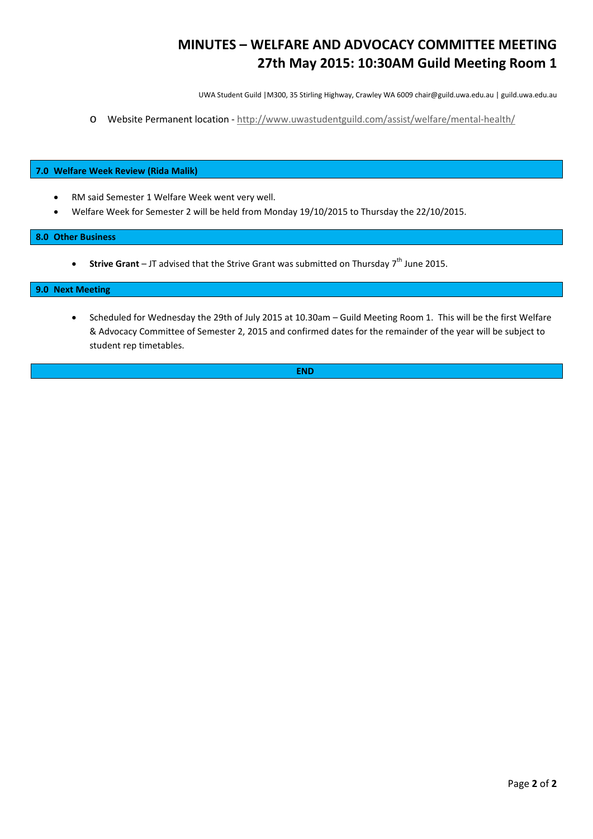## **MINUTES – WELFARE AND ADVOCACY COMMITTEE MEETING 27th May 2015: 10:30AM Guild Meeting Room 1**

UWA Student Guild |M300, 35 Stirling Highway, Crawley WA 6009 chair@guild.uwa.edu.au | guild.uwa.edu.au

o Website Permanent location - <http://www.uwastudentguild.com/assist/welfare/mental-health/>

## **7.0 Welfare Week Review (Rida Malik)**

- RM said Semester 1 Welfare Week went very well.
- Welfare Week for Semester 2 will be held from Monday 19/10/2015 to Thursday the 22/10/2015.

## **8.0 Other Business**

• **Strive Grant** – JT advised that the Strive Grant was submitted on Thursday 7<sup>th</sup> June 2015.

#### **9.0 Next Meeting**

• Scheduled for Wednesday the 29th of July 2015 at 10.30am – Guild Meeting Room 1. This will be the first Welfare & Advocacy Committee of Semester 2, 2015 and confirmed dates for the remainder of the year will be subject to student rep timetables.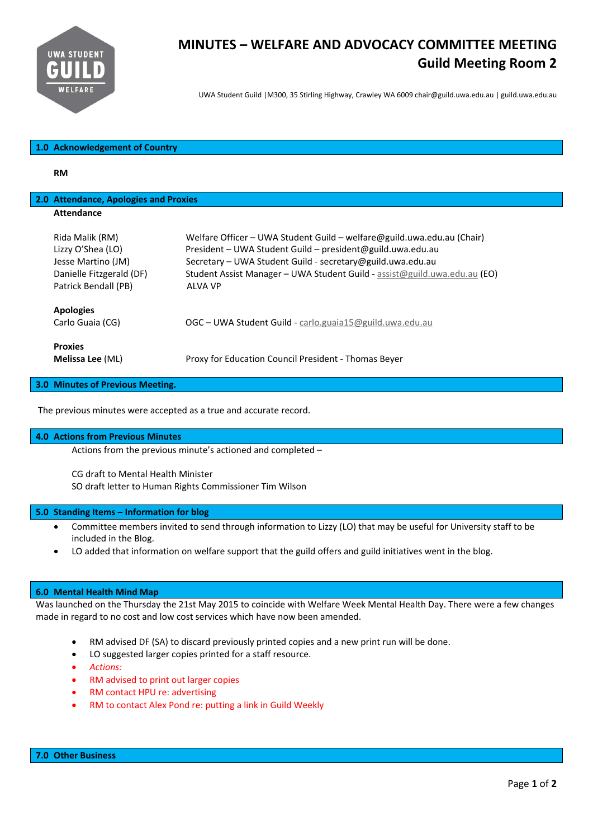

## **MINUTES – WELFARE AND ADVOCACY COMMITTEE MEETING Guild Meeting Room 2**

UWA Student Guild |M300, 35 Stirling Highway, Crawley WA 6009 chair@guild.uwa.edu.au | guild.uwa.edu.au

## **1.0 Acknowledgement of Country**

**RM**

## **2.0 Attendance, Apologies and Proxies Attendance**

| Rida Malik (RM)<br>Lizzy O'Shea (LO)<br>Jesse Martino (JM)<br>Danielle Fitzgerald (DF)<br>Patrick Bendall (PB) | Welfare Officer – UWA Student Guild – welfare@guild.uwa.edu.au (Chair)<br>President - UWA Student Guild - president@guild.uwa.edu.au<br>Secretary - UWA Student Guild - secretary@guild.uwa.edu.au<br>Student Assist Manager - UWA Student Guild - assist@guild.uwa.edu.au (EO)<br>ALVA VP |
|----------------------------------------------------------------------------------------------------------------|--------------------------------------------------------------------------------------------------------------------------------------------------------------------------------------------------------------------------------------------------------------------------------------------|
| <b>Apologies</b><br>Carlo Guaia (CG)                                                                           | OGC - UWA Student Guild - carlo.guaia15@guild.uwa.edu.au                                                                                                                                                                                                                                   |
| <b>Proxies</b><br>Melissa Lee (ML)                                                                             | Proxy for Education Council President - Thomas Beyer                                                                                                                                                                                                                                       |

**3.0 Minutes of Previous Meeting.** 

The previous minutes were accepted as a true and accurate record.

## **4.0 Actions from Previous Minutes**

Actions from the previous minute's actioned and completed –

CG draft to Mental Health Minister SO draft letter to Human Rights Commissioner Tim Wilson

#### **5.0 Standing Items – Information for blog**

- Committee members invited to send through information to Lizzy (LO) that may be useful for University staff to be included in the Blog.
- LO added that information on welfare support that the guild offers and guild initiatives went in the blog.

## **6.0 Mental Health Mind Map**

Was launched on the Thursday the 21st May 2015 to coincide with Welfare Week Mental Health Day. There were a few changes made in regard to no cost and low cost services which have now been amended.

- RM advised DF (SA) to discard previously printed copies and a new print run will be done.
- LO suggested larger copies printed for a staff resource.
- *Actions:*
- RM advised to print out larger copies
- RM contact HPU re: advertising
- RM to contact Alex Pond re: putting a link in Guild Weekly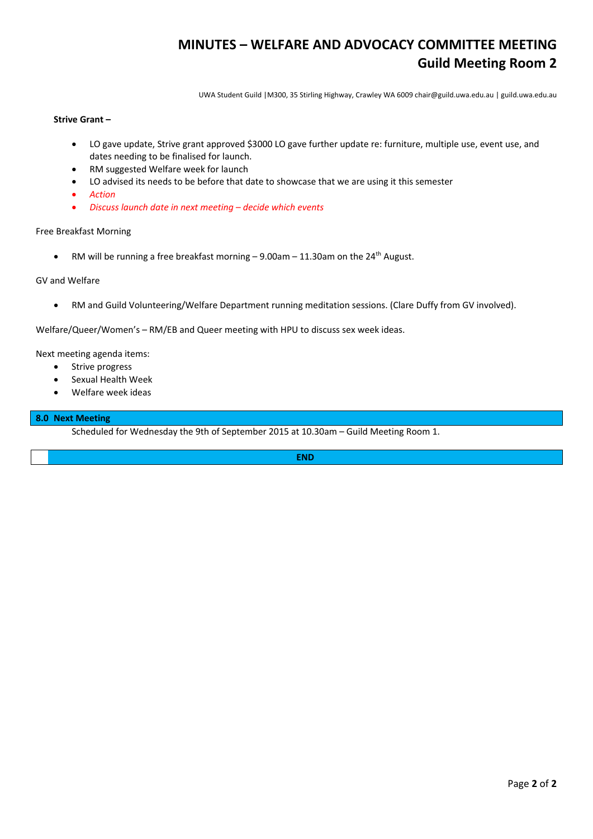## **MINUTES – WELFARE AND ADVOCACY COMMITTEE MEETING Guild Meeting Room 2**

UWA Student Guild |M300, 35 Stirling Highway, Crawley WA 6009 chair@guild.uwa.edu.au | guild.uwa.edu.au

## **Strive Grant –**

- LO gave update, Strive grant approved \$3000 LO gave further update re: furniture, multiple use, event use, and dates needing to be finalised for launch.
- RM suggested Welfare week for launch
- LO advised its needs to be before that date to showcase that we are using it this semester
- *Action*
- *Discuss launch date in next meeting – decide which events*

#### Free Breakfast Morning

• RM will be running a free breakfast morning  $-9.00$ am  $-11.30$ am on the 24<sup>th</sup> August.

## GV and Welfare

RM and Guild Volunteering/Welfare Department running meditation sessions. (Clare Duffy from GV involved).

Welfare/Queer/Women's – RM/EB and Queer meeting with HPU to discuss sex week ideas.

Next meeting agenda items:

- Strive progress
- Sexual Health Week
- Welfare week ideas

## **8.0 Next Meeting**

Scheduled for Wednesday the 9th of September 2015 at 10.30am – Guild Meeting Room 1.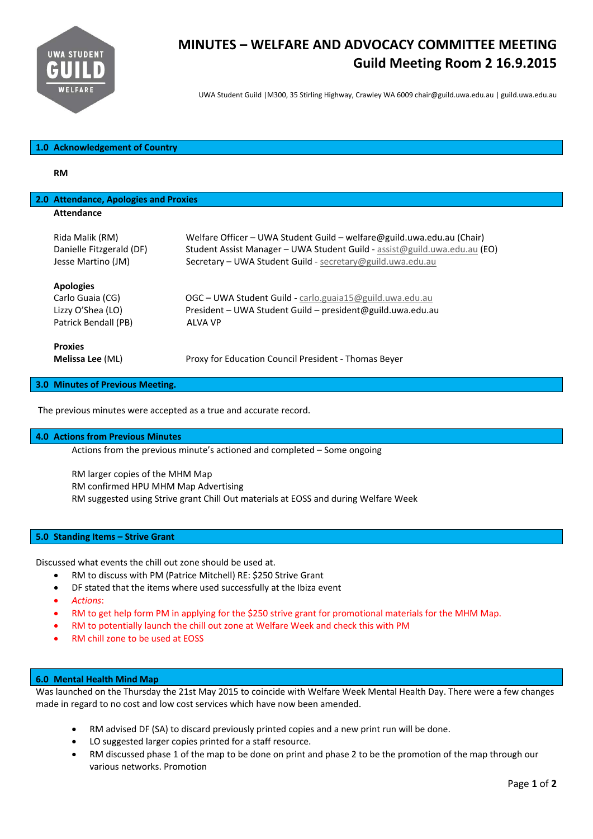

# **MINUTES – WELFARE AND ADVOCACY COMMITTEE MEETING Guild Meeting Room 2 16.9.2015**

UWA Student Guild |M300, 35 Stirling Highway, Crawley WA 6009 chair@guild.uwa.edu.au | guild.uwa.edu.au

## **1.0 Acknowledgement of Country**

**RM**

| 2.0 Attendance, Apologies and Proxies   |                                                                           |
|-----------------------------------------|---------------------------------------------------------------------------|
| <b>Attendance</b>                       |                                                                           |
|                                         |                                                                           |
| Rida Malik (RM)                         | Welfare Officer – UWA Student Guild – welfare@guild.uwa.edu.au (Chair)    |
| Danielle Fitzgerald (DF)                | Student Assist Manager - UWA Student Guild - assist@guild.uwa.edu.au (EO) |
| Jesse Martino (JM)                      | Secretary - UWA Student Guild - secretary@guild.uwa.edu.au                |
| <b>Apologies</b>                        |                                                                           |
| Carlo Guaia (CG)                        | OGC - UWA Student Guild - carlo.guaia15@guild.uwa.edu.au                  |
| Lizzy O'Shea (LO)                       | President – UWA Student Guild – president@guild.uwa.edu.au                |
| Patrick Bendall (PB)                    | ALVA VP                                                                   |
|                                         |                                                                           |
| <b>Proxies</b>                          |                                                                           |
| Melissa Lee (ML)                        | Proxy for Education Council President - Thomas Beyer                      |
| <b>3.0 Minutes of Previous Meeting.</b> |                                                                           |

The previous minutes were accepted as a true and accurate record.

#### **4.0 Actions from Previous Minutes**

Actions from the previous minute's actioned and completed – Some ongoing

RM larger copies of the MHM Map RM confirmed HPU MHM Map Advertising RM suggested using Strive grant Chill Out materials at EOSS and during Welfare Week

#### **5.0 Standing Items – Strive Grant**

Discussed what events the chill out zone should be used at.

- RM to discuss with PM (Patrice Mitchell) RE: \$250 Strive Grant
- DF stated that the items where used successfully at the Ibiza event
- *Actions*:
- RM to get help form PM in applying for the \$250 strive grant for promotional materials for the MHM Map.
- RM to potentially launch the chill out zone at Welfare Week and check this with PM
- RM chill zone to be used at EOSS

#### **6.0 Mental Health Mind Map**

Was launched on the Thursday the 21st May 2015 to coincide with Welfare Week Mental Health Day. There were a few changes made in regard to no cost and low cost services which have now been amended.

- RM advised DF (SA) to discard previously printed copies and a new print run will be done.
- LO suggested larger copies printed for a staff resource.
- RM discussed phase 1 of the map to be done on print and phase 2 to be the promotion of the map through our various networks. Promotion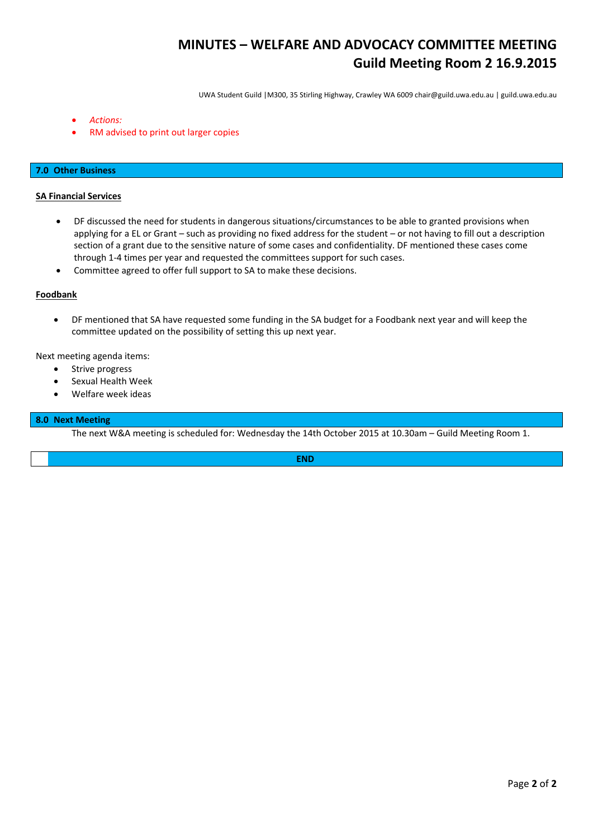# **MINUTES – WELFARE AND ADVOCACY COMMITTEE MEETING Guild Meeting Room 2 16.9.2015**

UWA Student Guild |M300, 35 Stirling Highway, Crawley WA 6009 chair@guild.uwa.edu.au | guild.uwa.edu.au

- *Actions:*
- RM advised to print out larger copies

## **7.0 Other Business**

## **SA Financial Services**

- DF discussed the need for students in dangerous situations/circumstances to be able to granted provisions when applying for a EL or Grant – such as providing no fixed address for the student – or not having to fill out a description section of a grant due to the sensitive nature of some cases and confidentiality. DF mentioned these cases come through 1‐4 times per year and requested the committees support for such cases.
- Committee agreed to offer full support to SA to make these decisions.

## **Foodbank**

 DF mentioned that SA have requested some funding in the SA budget for a Foodbank next year and will keep the committee updated on the possibility of setting this up next year.

Next meeting agenda items:

- Strive progress
- Sexual Health Week
- Welfare week ideas

## **8.0 Next Meeting**

The next W&A meeting is scheduled for: Wednesday the 14th October 2015 at 10.30am – Guild Meeting Room 1.